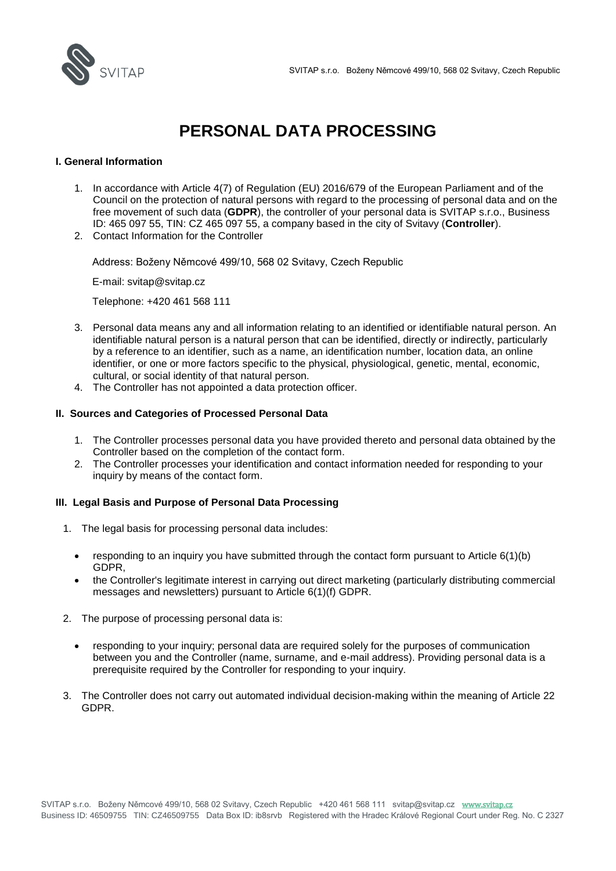

# **PERSONAL DATA PROCESSING**

# **I. General Information**

- 1. In accordance with Article 4(7) of Regulation (EU) 2016/679 of the European Parliament and of the Council on the protection of natural persons with regard to the processing of personal data and on the free movement of such data (**GDPR**), the controller of your personal data is SVITAP s.r.o., Business ID: 465 097 55, TIN: CZ 465 097 55, a company based in the city of Svitavy (**Controller**).
- 2. Contact Information for the Controller

Address: Boženy Němcové 499/10, 568 02 Svitavy, Czech Republic

E-mail: svitap@svitap.cz

Telephone: +420 461 568 111

- 3. Personal data means any and all information relating to an identified or identifiable natural person. An identifiable natural person is a natural person that can be identified, directly or indirectly, particularly by a reference to an identifier, such as a name, an identification number, location data, an online identifier, or one or more factors specific to the physical, physiological, genetic, mental, economic, cultural, or social identity of that natural person.
- 4. The Controller has not appointed a data protection officer.

### **II. Sources and Categories of Processed Personal Data**

- 1. The Controller processes personal data you have provided thereto and personal data obtained by the Controller based on the completion of the contact form.
- 2. The Controller processes your identification and contact information needed for responding to your inquiry by means of the contact form.

# **III. Legal Basis and Purpose of Personal Data Processing**

- 1. The legal basis for processing personal data includes:
	- responding to an inquiry you have submitted through the contact form pursuant to Article  $6(1)(b)$ GDPR,
	- the Controller's legitimate interest in carrying out direct marketing (particularly distributing commercial messages and newsletters) pursuant to Article 6(1)(f) GDPR.
- 2. The purpose of processing personal data is:
	- responding to your inquiry; personal data are required solely for the purposes of communication between you and the Controller (name, surname, and e-mail address). Providing personal data is a prerequisite required by the Controller for responding to your inquiry.
- 3. The Controller does not carry out automated individual decision-making within the meaning of Article 22 GDPR.